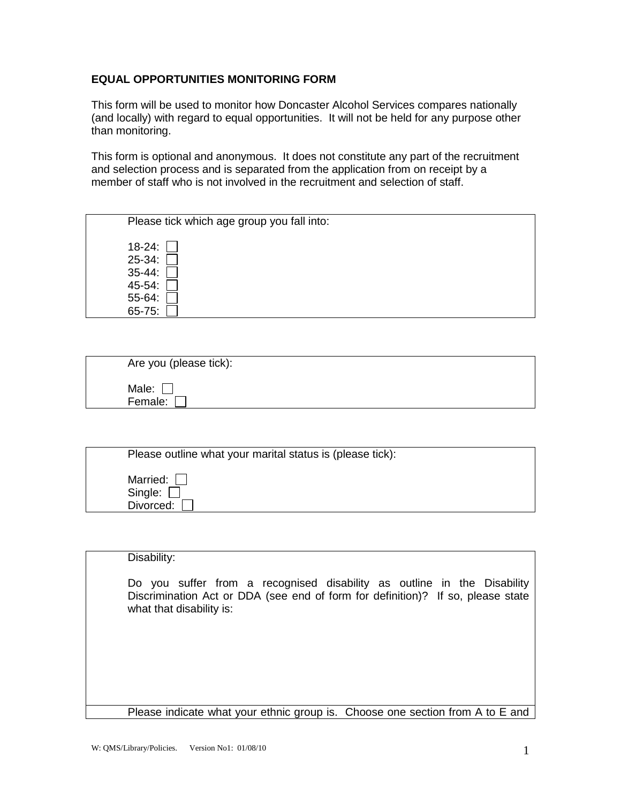## **EQUAL OPPORTUNITIES MONITORING FORM**

This form will be used to monitor how Doncaster Alcohol Services compares nationally (and locally) with regard to equal opportunities. It will not be held for any purpose other than monitoring.

This form is optional and anonymous. It does not constitute any part of the recruitment and selection process and is separated from the application from on receipt by a member of staff who is not involved in the recruitment and selection of staff.

|                                                   | Please tick which age group you fall into: |
|---------------------------------------------------|--------------------------------------------|
| $18-24$ :<br>$25 - 34$ :<br>$35 - 44$ :<br>45-54: |                                            |
| 55-64:                                            |                                            |
| 65-75:                                            |                                            |

| Are you (please tick): |  |
|------------------------|--|
| Male:<br>Female:       |  |

| Please outline what your marital status is (please tick): |  |
|-----------------------------------------------------------|--|
| Married: [<br>Single: [                                   |  |
| Divorced:                                                 |  |

| Disability:                                                                                                                                                                            |
|----------------------------------------------------------------------------------------------------------------------------------------------------------------------------------------|
| Do you suffer from a recognised disability as outline in the Disability<br>Discrimination Act or DDA (see end of form for definition)? If so, please state<br>what that disability is: |
|                                                                                                                                                                                        |
| Please indicate what your ethnic group is. Choose one section from A to E and                                                                                                          |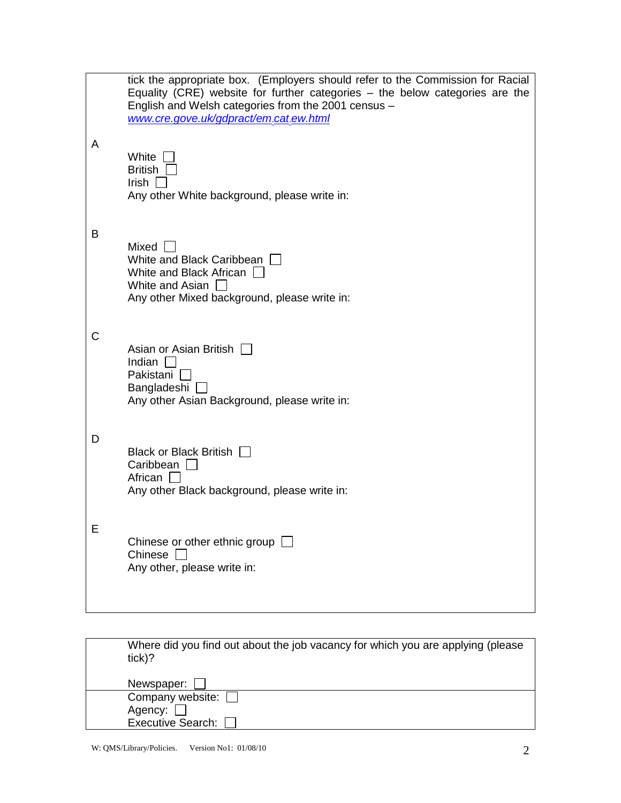|   | tick the appropriate box. (Employers should refer to the Commission for Racial<br>Equality (CRE) website for further categories - the below categories are the<br>English and Welsh categories from the 2001 census -<br>www.cre.gove.uk/gdpract/em.cat.ew.html |
|---|-----------------------------------------------------------------------------------------------------------------------------------------------------------------------------------------------------------------------------------------------------------------|
| A | White<br><b>British</b><br>Irish<br>Any other White background, please write in:                                                                                                                                                                                |
| B | Mixed<br>White and Black Caribbean<br>White and Black African<br>White and Asian<br>Any other Mixed background, please write in:                                                                                                                                |
| С | Asian or Asian British<br>Indian<br>Pakistani  <br>Bangladeshi [<br>Any other Asian Background, please write in:                                                                                                                                                |
| D | Black or Black British<br>Caribbean  <br>African  <br>Any other Black background, please write in:                                                                                                                                                              |
| ᄇ | Chinese or other ethnic group $\Box$<br>Chinese<br>Any other, please write in:                                                                                                                                                                                  |

| Where did you find out about the job vacancy for which you are applying (please<br>tick)? |  |
|-------------------------------------------------------------------------------------------|--|
| Newspaper:                                                                                |  |
| Company website: $\Box$                                                                   |  |
| Agency:                                                                                   |  |
| <b>Executive Search:</b>                                                                  |  |